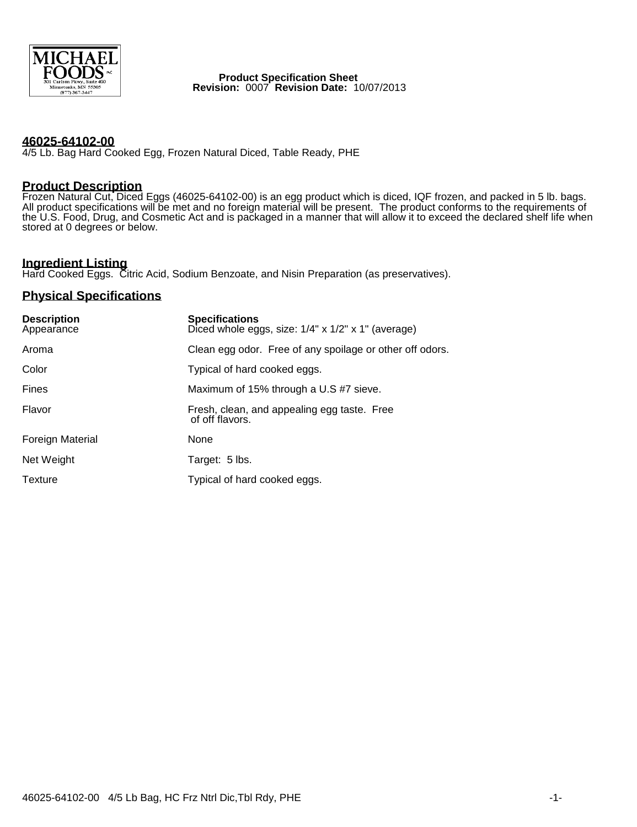

**Product Specification Sheet Revision:** 0007 **Revision Date:** 10/07/2013

#### **46025-64102-00**

4/5 Lb. Bag Hard Cooked Egg, Frozen Natural Diced, Table Ready, PHE

## **Product Description**

Frozen Natural Cut, Diced Eggs (46025-64102-00) is an egg product which is diced, IQF frozen, and packed in 5 lb. bags. All product specifications will be met and no foreign material will be present. The product conforms to the requirements of the U.S. Food, Drug, and Cosmetic Act and is packaged in a manner that will allow it to exceed the declared shelf life when stored at 0 degrees or below.

# **Ingredient Listing**

Hard Cooked Eggs. Citric Acid, Sodium Benzoate, and Nisin Preparation (as preservatives).

## **Physical Specifications**

| <b>Description</b><br>Appearance | <b>Specifications</b><br>Diced whole eggs, size: $1/4$ " x $1/2$ " x $1$ " (average) |
|----------------------------------|--------------------------------------------------------------------------------------|
| Aroma                            | Clean egg odor. Free of any spoilage or other off odors.                             |
| Color                            | Typical of hard cooked eggs.                                                         |
| <b>Fines</b>                     | Maximum of 15% through a U.S #7 sieve.                                               |
| Flavor                           | Fresh, clean, and appealing egg taste. Free<br>of off flavors.                       |
| <b>Foreign Material</b>          | None                                                                                 |
| Net Weight                       | Target: 5 lbs.                                                                       |
| Texture                          | Typical of hard cooked eggs.                                                         |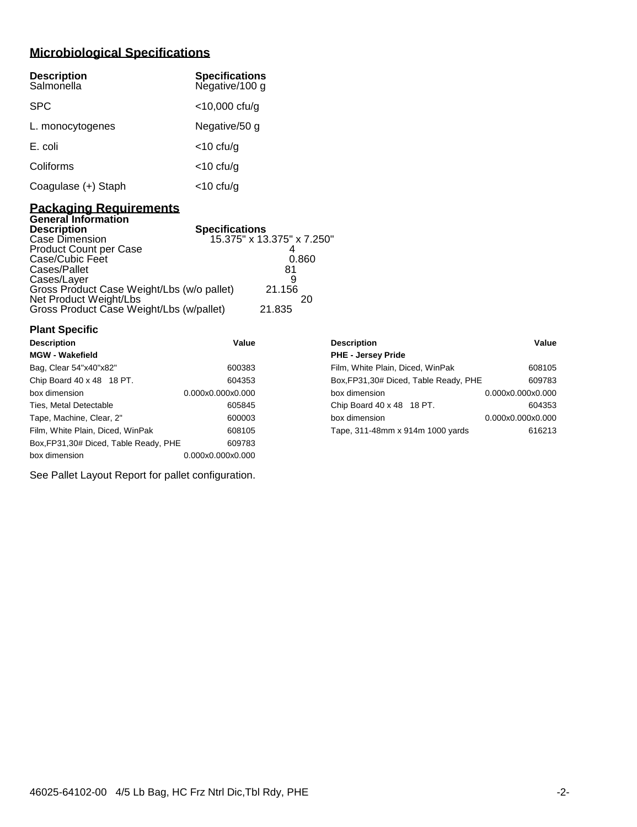## **Microbiological Specifications**

| <b>Description</b><br>Salmonella | <b>Specifications</b><br>Negative/100 g |
|----------------------------------|-----------------------------------------|
| <b>SPC</b>                       | $<$ 10,000 cfu/g                        |
| L. monocytogenes                 | Negative/50 g                           |
| E. coli                          | $<$ 10 cfu/g                            |
| Coliforms                        | $<$ 10 cfu/g                            |
| Coagulase (+) Staph              | <10 cfu/g                               |

### **Packaging Requirements General Information**

| <b>Description</b>                         | <b>Specifications</b>      |
|--------------------------------------------|----------------------------|
| Case Dimension                             | 15.375" x 13.375" x 7.250" |
| <b>Product Count per Case</b>              |                            |
| Case/Cubic Feet                            | 0.860                      |
| Cases/Pallet                               | 81                         |
| Cases/Layer                                |                            |
| Gross Product Case Weight/Lbs (w/o pallet) | 21.156                     |
| Net Product Weight/Lbs                     | 20                         |
| Gross Product Case Weight/Lbs (w/pallet)   | 21.835                     |

| <b>Plant Specific</b>                  |                   |                                        |                   |
|----------------------------------------|-------------------|----------------------------------------|-------------------|
| <b>Description</b>                     | Value             | <b>Description</b>                     | Value             |
| <b>MGW - Wakefield</b>                 |                   | <b>PHE - Jersey Pride</b>              |                   |
| Bag, Clear 54"x40"x82"                 | 600383            | Film, White Plain, Diced, WinPak       | 608105            |
| Chip Board 40 x 48 18 PT.              | 604353            | Box, FP31, 30# Diced, Table Ready, PHE | 609783            |
| box dimension                          | 0.000x0.000x0.000 | box dimension                          | 0.000x0.000x0.000 |
| Ties, Metal Detectable                 | 605845            | Chip Board 40 x 48 18 PT.              | 604353            |
| Tape, Machine, Clear, 2"               | 600003            | box dimension                          | 0.000x0.000x0.000 |
| Film, White Plain, Diced, WinPak       | 608105            | Tape, 311-48mm x 914m 1000 yards       | 616213            |
| Box, FP31, 30# Diced, Table Ready, PHE | 609783            |                                        |                   |
| box dimension                          | 0.000x0.000x0.000 |                                        |                   |

| Description                            | valut             |
|----------------------------------------|-------------------|
| <b>PHE - Jersey Pride</b>              |                   |
| Film, White Plain, Diced, WinPak       | 608105            |
| Box, FP31, 30# Diced, Table Ready, PHE | 609783            |
| box dimension                          | 0.000x0.000x0.000 |
| Chip Board 40 x 48 18 PT.              | 604353            |
| box dimension                          | 0.000x0.000x0.000 |
| Tape, 311-48mm x 914m 1000 yards       | 616213            |
|                                        |                   |

See Pallet Layout Report for pallet configuration.